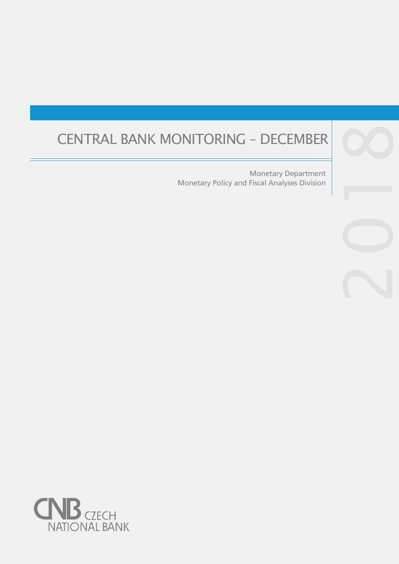# CENTRAL BANK MONITORING – DECEMBER 8

Monetary Policy and Fiscal Analyses Division Monetary Department

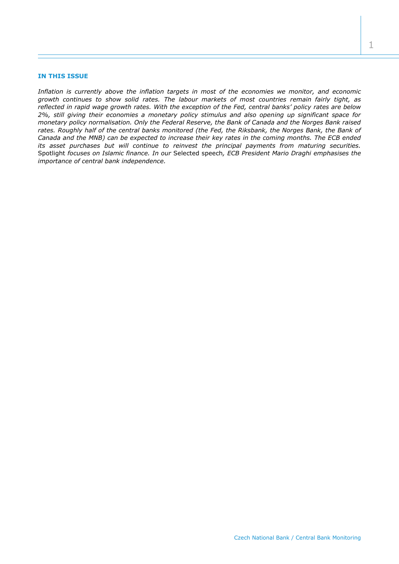## **IN THIS ISSUE**

*Inflation is currently above the inflation targets in most of the economies we monitor, and economic growth continues to show solid rates. The labour markets of most countries remain fairly tight, as reflected in rapid wage growth rates. With the exception of the Fed, central banks' policy rates are below 2%, still giving their economies a monetary policy stimulus and also opening up significant space for monetary policy normalisation. Only the Federal Reserve, the Bank of Canada and the Norges Bank raised rates. Roughly half of the central banks monitored (the Fed, the Riksbank, the Norges Bank, the Bank of Canada and the MNB) can be expected to increase their key rates in the coming months. The ECB ended its asset purchases but will continue to reinvest the principal payments from maturing securities.*  Spotlight *focuses on Islamic finance. In our* Selected speech*, ECB President Mario Draghi emphasises the importance of central bank independence.*

1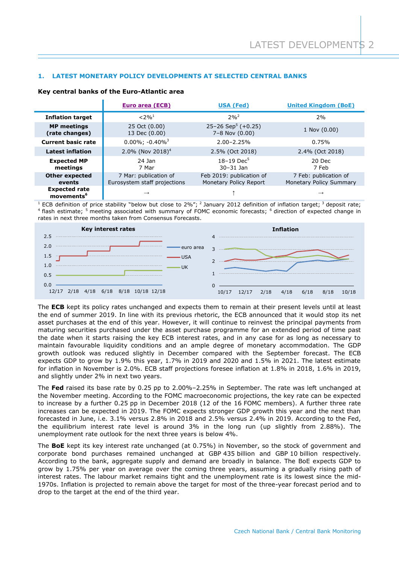# **1. LATEST MONETARY POLICY DEVELOPMENTS AT SELECTED CENTRAL BANKS**

|                                                | <b>Euro area (ECB)</b>                                | <b>USA (Fed)</b>                                       | <b>United Kingdom (BoE)</b>                      |  |
|------------------------------------------------|-------------------------------------------------------|--------------------------------------------------------|--------------------------------------------------|--|
| <b>Inflation target</b>                        | $< 2\%$ <sup>1</sup>                                  | $2%^{2}$                                               | 2%                                               |  |
| <b>MP</b> meetings<br>(rate changes)           | 25 Oct (0.00)<br>13 Dec (0.00)                        | 25–26 Sep <sup>5</sup> (+0.25)<br>$7 - 8$ Nov $(0.00)$ | 1 Nov (0.00)                                     |  |
| <b>Current basic rate</b>                      | $0.00\%$ ; $-0.40\%$ <sup>3</sup>                     | $2.00 - 2.25%$                                         | 0.75%                                            |  |
| <b>Latest inflation</b>                        | 2.0% (Nov 2018) <sup>4</sup>                          | 2.5% (Oct 2018)                                        | 2.4% (Oct 2018)                                  |  |
| <b>Expected MP</b><br>meetings                 | 24 Jan<br>7 Mar                                       | $18 - 19$ Dec <sup>5</sup><br>$30 - 31$ Jan            | 20 Dec<br>7 Feb                                  |  |
| <b>Other expected</b><br>events                | 7 Mar: publication of<br>Eurosystem staff projections | Feb 2019: publication of<br>Monetary Policy Report     | 7 Feb: publication of<br>Monetary Policy Summary |  |
| <b>Expected rate</b><br>movements <sup>6</sup> | $\rightarrow$                                         |                                                        | $\rightarrow$                                    |  |

## **Key central banks of the Euro-Atlantic area**

<sup>1</sup> ECB definition of price stability "below but close to 2%"; <sup>2</sup> January 2012 definition of inflation target; <sup>3</sup> deposit rate; <sup>4</sup> flash estimate; <sup>5</sup> meeting associated with summary of FOMC economic forecasts; <sup>6</sup> direction of expected change in rates in next three months taken from Consensus Forecasts.



The **ECB** kept its policy rates unchanged and expects them to remain at their present levels until at least the end of summer 2019. In line with its previous rhetoric, the ECB announced that it would stop its net asset purchases at the end of this year. However, it will continue to reinvest the principal payments from maturing securities purchased under the asset purchase programme for an extended period of time past the date when it starts raising the key ECB interest rates, and in any case for as long as necessary to maintain favourable liquidity conditions and an ample degree of monetary accommodation. The GDP growth outlook was reduced slightly in December compared with the September forecast. The ECB expects GDP to grow by 1.9% this year, 1.7% in 2019 and 2020 and 1.5% in 2021. The latest estimate for inflation in November is 2.0%. ECB staff projections foresee inflation at 1.8% in 2018, 1.6% in 2019, and slightly under 2% in next two years.

The **Fed** raised its base rate by 0.25 pp to 2.00%–2.25% in September. The rate was left unchanged at the November meeting. According to the FOMC macroeconomic projections, the key rate can be expected to increase by a further 0.25 pp in December 2018 (12 of the 16 FOMC members). A further three rate increases can be expected in 2019. The FOMC expects stronger GDP growth this year and the next than forecasted in June, i.e. 3.1% versus 2.8% in 2018 and 2.5% versus 2.4% in 2019. According to the Fed, the equilibrium interest rate level is around 3% in the long run (up slightly from 2.88%). The unemployment rate outlook for the next three years is below 4%.

The **BoE** kept its key interest rate unchanged (at 0.75%) in November, so the stock of government and corporate bond purchases remained unchanged at GBP 435 billion and GBP 10 billion respectively. According to the bank, aggregate supply and demand are broadly in balance. The BoE expects GDP to grow by 1.75% per year on average over the coming three years, assuming a gradually rising path of interest rates. The labour market remains tight and the unemployment rate is its lowest since the mid-1970s. Inflation is projected to remain above the target for most of the three-year forecast period and to drop to the target at the end of the third year.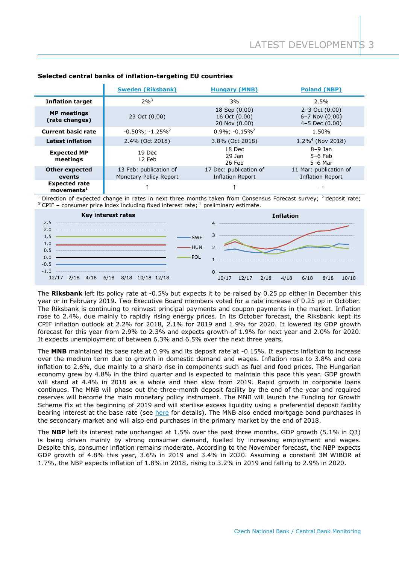|                                                   | <b>Sweden (Riksbank)</b>                         | <b>Hungary (MNB)</b>                              | <b>Poland (NBP)</b>                                                  |
|---------------------------------------------------|--------------------------------------------------|---------------------------------------------------|----------------------------------------------------------------------|
| <b>Inflation target</b>                           | $2%^{3}$                                         | 3%                                                | 2.5%                                                                 |
| <b>MP</b> meetings<br>(rate changes)              | 23 Oct (0.00)                                    | 18 Sep (0.00)<br>16 Oct (0.00)<br>20 Nov (0.00)   | $2 - 3$ Oct $(0.00)$<br>$6 - 7$ Nov $(0.00)$<br>$4 - 5$ Dec $(0.00)$ |
| <b>Current basic rate</b>                         | $-0.50\%$ ; $-1.25\%$ <sup>2</sup>               | $0.9\%$ ; $-0.15\%$ <sup>2</sup>                  | 1.50%                                                                |
| <b>Latest inflation</b>                           | 2.4% (Oct 2018)                                  | 3.8% (Oct 2018)                                   | $1.2\%$ <sup>4</sup> (Nov 2018)                                      |
| <b>Expected MP</b><br>meetings                    | 19 Dec<br>12 Feb                                 | 18 Dec<br>29 Jan<br>26 Feb                        | $8-9$ Jan<br>$5-6$ Feb<br>$5-6$ Mar                                  |
| <b>Other expected</b><br>events                   | 13 Feb: publication of<br>Monetary Policy Report | 17 Dec: publication of<br><b>Inflation Report</b> | 11 Mar: publication of<br><b>Inflation Report</b>                    |
| <b>Expected rate</b><br>$move$ ments <sup>1</sup> |                                                  |                                                   |                                                                      |

# **Selected central banks of inflation-targeting EU countries**

Direction of expected change in rates in next three months taken from Consensus Forecast survey; <sup>2</sup> deposit rate; <sup>3</sup> CPIF – consumer price index including fixed interest rate; <sup>4</sup> preliminary estimate.



The **Riksbank** left its policy rate at -0.5% but expects it to be raised by 0.25 pp either in December this year or in February 2019. Two Executive Board members voted for a rate increase of 0.25 pp in October. The Riksbank is continuing to reinvest principal payments and coupon payments in the market. Inflation rose to 2.4%, due mainly to rapidly rising energy prices. In its October forecast, the Riksbank kept its CPIF inflation outlook at 2.2% for 2018, 2.1% for 2019 and 1.9% for 2020. It lowered its GDP growth forecast for this year from 2.9% to 2.3% and expects growth of 1.9% for next year and 2.0% for 2020. It expects unemployment of between 6.3% and 6.5% over the next three years.

The **MNB** maintained its base rate at 0.9% and its deposit rate at -0.15%. It expects inflation to increase over the medium term due to growth in domestic demand and wages. Inflation rose to 3.8% and core inflation to 2.6%, due mainly to a sharp rise in components such as fuel and food prices. The Hungarian economy grew by 4.8% in the third quarter and is expected to maintain this pace this year. GDP growth will stand at 4.4% in 2018 as a whole and then slow from 2019. Rapid growth in corporate loans continues. The MNB will phase out the three-month deposit facility by the end of the year and required reserves will become the main monetary policy instrument. The MNB will launch the Funding for Growth Scheme Fix at the beginning of 2019 and will sterilise excess liquidity using a preferential deposit facility bearing interest at the base rate (see [here](http://www.mnb.hu/letoltes/monpol-eszkoztar-strategiai-keretrendszer-en.PDF) for details). The MNB also ended mortgage bond purchases in the secondary market and will also end purchases in the primary market by the end of 2018.

The **NBP** left its interest rate unchanged at 1.5% over the past three months. GDP growth (5.1% in Q3) is being driven mainly by strong consumer demand, fuelled by increasing employment and wages. Despite this, consumer inflation remains moderate. According to the November forecast, the NBP expects GDP growth of 4.8% this year, 3.6% in 2019 and 3.4% in 2020. Assuming a constant 3M WIBOR at 1.7%, the NBP expects inflation of 1.8% in 2018, rising to 3.2% in 2019 and falling to 2.9% in 2020.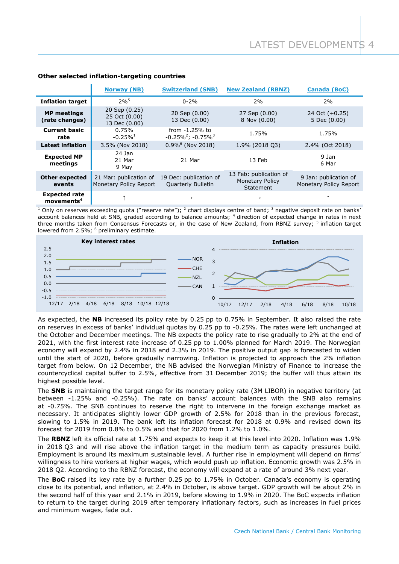|                                                | <b>Norway (NB)</b>                               | <b>Switzerland (SNB)</b>                            | <b>New Zealand (RBNZ)</b>                                     | <b>Canada (BoC)</b>                             |
|------------------------------------------------|--------------------------------------------------|-----------------------------------------------------|---------------------------------------------------------------|-------------------------------------------------|
| <b>Inflation target</b>                        | $2%^{5}$                                         | $0 - 2%$                                            | 2%                                                            | 2%                                              |
| <b>MP</b> meetings<br>(rate changes)           | 20 Sep (0.25)<br>25 Oct (0.00)<br>13 Dec (0.00)  | 20 Sep (0.00)<br>13 Dec (0.00)                      | 27 Sep (0.00)<br>8 Nov (0.00)                                 | 24 Oct $(+0.25)$<br>5 Dec (0.00)                |
| <b>Current basic</b><br>rate                   | 0.75%<br>$-0.25\%$ <sup>1</sup>                  | from -1.25% to<br>$-0.25\%^2$ ; $-0.75\%^3$         | 1.75%                                                         | 1.75%                                           |
| <b>Latest inflation</b>                        | 3.5% (Nov 2018)                                  | $0.9\%$ <sup>6</sup> (Nov 2018)                     | 1.9% (2018 03)                                                | 2.4% (Oct 2018)                                 |
| <b>Expected MP</b><br>meetings                 | 24 Jan<br>21 Mar<br>9 May                        | 21 Mar                                              | 13 Feb                                                        | 9 Jan<br>6 Mar                                  |
| <b>Other expected</b><br>events                | 21 Mar: publication of<br>Monetary Policy Report | 19 Dec: publication of<br><b>Quarterly Bulletin</b> | 13 Feb: publication of<br><b>Monetary Policy</b><br>Statement | 9 Jan: publication of<br>Monetary Policy Report |
| <b>Expected rate</b><br>movements <sup>4</sup> |                                                  | $\rightarrow$                                       | $\rightarrow$                                                 |                                                 |

# **Other selected inflation-targeting countries**

<sup>1</sup> Only on reserves exceeding quota ("reserve rate"); <sup>2</sup> chart displays centre of band; <sup>3</sup> negative deposit rate on banks' account balances held at SNB, graded according to balance amounts; <sup>4</sup> direction of expected change in rates in next three months taken from Consensus Forecasts or, in the case of New Zealand, from RBNZ survey; <sup>5</sup> inflation target lowered from 2.5%; <sup>6</sup> preliminary estimate.



As expected, the **NB** increased its policy rate by 0.25 pp to 0.75% in September. It also raised the rate on reserves in excess of banks' individual quotas by 0.25 pp to -0.25%. The rates were left unchanged at the October and December meetings. The NB expects the policy rate to rise gradually to 2% at the end of 2021, with the first interest rate increase of 0.25 pp to 1.00% planned for March 2019. The Norwegian economy will expand by 2.4% in 2018 and 2.3% in 2019. The positive output gap is forecasted to widen until the start of 2020, before gradually narrowing. Inflation is projected to approach the 2% inflation target from below. On 12 December, the NB advised the Norwegian Ministry of Finance to increase the countercyclical capital buffer to 2.5%, effective from 31 December 2019; the buffer will thus attain its highest possible level.

The **SNB** is maintaining the target range for its monetary policy rate (3M LIBOR) in negative territory (at between -1.25% and -0.25%). The rate on banks' account balances with the SNB also remains at -0.75%. The SNB continues to reserve the right to intervene in the foreign exchange market as necessary. It anticipates slightly lower GDP growth of 2.5% for 2018 than in the previous forecast, slowing to 1.5% in 2019. The bank left its inflation forecast for 2018 at 0.9% and revised down its forecast for 2019 from 0.8% to 0.5% and that for 2020 from 1.2% to 1.0%.

The **RBNZ** left its official rate at 1.75% and expects to keep it at this level into 2020. Inflation was 1.9% in 2018 Q3 and will rise above the inflation target in the medium term as capacity pressures build. Employment is around its maximum sustainable level. A further rise in employment will depend on firms' willingness to hire workers at higher wages, which would push up inflation. Economic growth was 2.5% in 2018 Q2. According to the RBNZ forecast, the economy will expand at a rate of around 3% next year.

The **BoC** raised its key rate by a further 0.25 pp to 1.75% in October. Canada's economy is operating close to its potential, and inflation, at 2.4% in October, is above target. GDP growth will be about 2% in the second half of this year and 2.1% in 2019, before slowing to 1.9% in 2020. The BoC expects inflation to return to the target during 2019 after temporary inflationary factors, such as increases in fuel prices and minimum wages, fade out.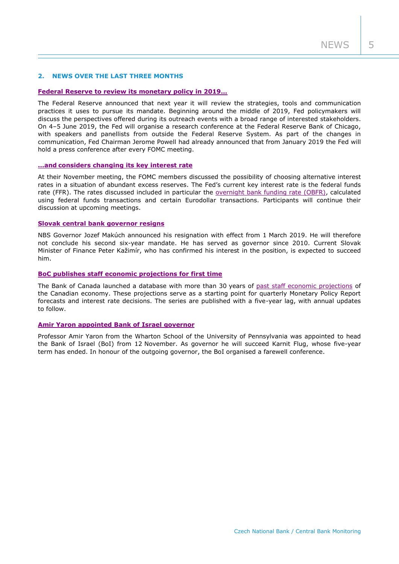# **2. NEWS OVER THE LAST THREE MONTHS**

## **[Federal Reserve to review its monetary policy in 2019…](https://www.federalreserve.gov/newsevents/pressreleases/monetary20181115a.htm)**

The Federal Reserve announced that next year it will review the strategies, tools and communication practices it uses to pursue its mandate. Beginning around the middle of 2019, Fed policymakers will discuss the perspectives offered during its outreach events with a broad range of interested stakeholders. On 4–5 June 2019, the Fed will organise a research conference at the Federal Reserve Bank of Chicago, with speakers and panellists from outside the Federal Reserve System. As part of the changes in communication, Fed Chairman Jerome Powell had already announced that from January 2019 the Fed will hold a press conference after every FOMC meeting.

# **…and considers changing [its key interest rate](https://www.federalreserve.gov/monetarypolicy/fomcminutes20181108.htm)**

At their November meeting, the FOMC members discussed the possibility of choosing alternative interest rates in a situation of abundant excess reserves. The Fed's current key interest rate is the federal funds rate (FFR). The rates discussed included in particular the [overnight bank funding rate \(OBFR\),](https://apps.newyorkfed.org/markets/autorates/obfr) calculated using federal funds transactions and certain Eurodollar transactions. Participants will continue their discussion at upcoming meetings.

## **[Slovak central bank governor resigns](https://www.nbs.sk/en/press/all-press-releases/press-releases-common/press-release/_statement-from-the-nbs-bank-board-s-22nd-meeting-of-2018)**

NBS Governor Jozef Makúch announced his resignation with effect from 1 March 2019. He will therefore not conclude his second six-year mandate. He has served as governor since 2010. Current Slovak Minister of Finance Peter Kažimír, who has confirmed his interest in the position, is expected to succeed him.

## **[BoC publishes staff economic projections for first time](https://www.bankofcanada.ca/2018/11/bank-canada-publishes-staff-economic-projections/)**

The Bank of Canada launched a database with more than 30 years of [past staff economic projections](https://www.bankofcanada.ca/rates/staff-economic-projections/) of the Canadian economy. These projections serve as a starting point for quarterly Monetary Policy Report forecasts and interest rate decisions. The series are published with a five-year lag, with annual updates to follow.

#### **[Amir Yaron appointed Bank of Israel governor](https://www.boi.org.il/en/NewsAndPublications/PressReleases/Pages/18-11-2018.aspx)**

Professor Amir Yaron from the Wharton School of the University of Pennsylvania was appointed to head the Bank of Israel (BoI) from 12 November. As governor he will succeed Karnit Flug, whose five-year term has ended. In honour of the outgoing governor, the BoI organised a farewell conference.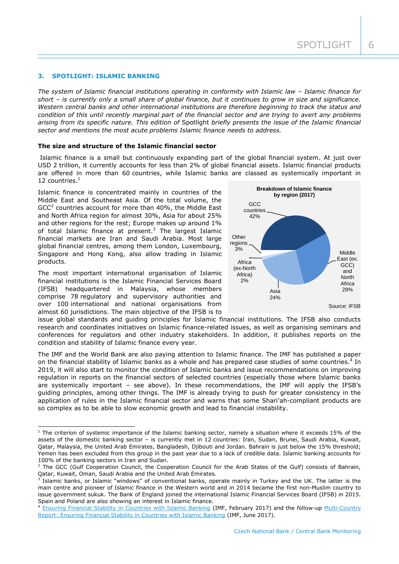# **3. SPOTLIGHT: ISLAMIC BANKING**

*The system of Islamic financial institutions operating in conformity with Islamic law – Islamic finance for short – is currently only a small share of global finance, but it continues to grow in size and significance. Western central banks and other international institutions are therefore beginning to track the status and condition of this until recently marginal part of the financial sector and are trying to avert any problems arising from its specific nature. This edition of* Spotlight *briefly presents the issue of the Islamic financial sector and mentions the most acute problems Islamic finance needs to address.*

#### **The size and structure of the Islamic financial sector**

Islamic finance is a small but continuously expanding part of the global financial system. At just over USD 2 trillion, it currently accounts for less than 2% of global financial assets. Islamic financial products are offered in more than 60 countries, while Islamic banks are classed as systemically important in 12 countries. $<sup>1</sup>$ </sup>

Islamic finance is concentrated mainly in countries of the Middle East and Southeast Asia. Of the total volume, the  $GCC<sup>2</sup>$  countries account for more than 40%, the Middle East and North Africa region for almost 30%, Asia for about 25% and other regions for the rest; Europe makes up around 1% of total Islamic finance at present. $3$  The largest Islamic financial markets are Iran and Saudi Arabia. Most large global financial centres, among them London, Luxembourg, Singapore and Hong Kong, also allow trading in Islamic products.

The most important international organisation of Islamic financial institutions is the Islamic Financial Services Board (IFSB) headquartered in Malaysia, whose members comprise 78 regulatory and supervisory authorities and over 100 international and national organisations from almost 60 jurisdictions. The main objective of the IFSB is to

-



issue global standards and guiding principles for Islamic financial institutions. The IFSB also conducts research and coordinates initiatives on Islamic finance-related issues, as well as organising seminars and conferences for regulators and other industry stakeholders. In addition, it publishes reports on the condition and stability of Islamic finance every year.

The IMF and the World Bank are also paying attention to Islamic finance. The IMF has published a paper on the financial stability of Islamic banks as a whole and has prepared case studies of some countries.<sup>4</sup> In 2019, it will also start to monitor the condition of Islamic banks and issue recommendations on improving regulation in reports on the financial sectors of selected countries (especially those where Islamic banks are systemically important – see above). In these recommendations, the IMF will apply the IFSB's guiding principles, among other things. The IMF is already trying to push for greater consistency in the application of rules in the Islamic financial sector and warns that some Shari'ah-compliant products are so complex as to be able to slow economic growth and lead to financial instability.

 $1$  The criterion of systemic importance of the Islamic banking sector, namely a situation where it exceeds 15% of the assets of the domestic banking sector – is currently met in 12 countries: Iran, Sudan, Brunei, Saudi Arabia, Kuwait, Qatar, Malaysia, the United Arab Emirates, Bangladesh, Djibouti and Jordan. Bahrain is just below the 15% threshold; Yemen has been excluded from this group in the past year due to a lack of credible data. Islamic banking accounts for 100% of the banking sectors in Iran and Sudan.

<sup>&</sup>lt;sup>2</sup> The GCC (Gulf Cooperation Council, the Cooperation Council for the Arab States of the Gulf) consists of Bahrain, Qatar, Kuwait, Oman, Saudi Arabia and the United Arab Emirates.

<sup>&</sup>lt;sup>3</sup> Islamic banks, or Islamic "windows" of conventional banks, operate mainly in Turkey and the UK. The latter is the main centre and pioneer of Islamic finance in the Western world and in 2014 became the first non-Muslim country to issue government sukuk. The Bank of England joined the international Islamic Financial Services Board (IFSB) in 2015. Spain and Poland are also showing an interest in Islamic finance.

[Ensuring Financial Stability in Countries with Islamic Banking](https://www.imf.org/en/Publications/Policy-Papers/Issues/2017/02/21/PP-Ensuring-Financial-Stability-in-Countries-with-Islamic-Banking) (IMF, February 2017) and the follow-up Multi-Country [Report: Ensuring Financial Stability in Countries with Islamic Banking](https://www.imf.org/en/Publications/CR/Issues/2017/06/20/Multi-Country-Report-Ensuring-Financial-Stability-in-Countries-with-Islamic-Banking-Case-44969) (IMF, June 2017).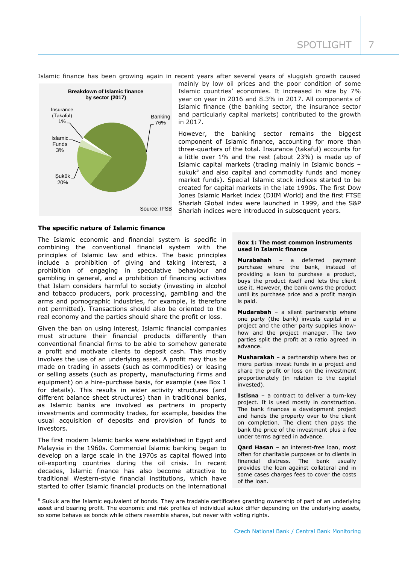SPOTLIGHT | 7





mainly by low oil prices and the poor condition of some Islamic countries' economies. It increased in size by 7% year on year in 2016 and 8.3% in 2017. All components of Islamic finance (the banking sector, the insurance sector and particularly capital markets) contributed to the growth in 2017.

However, the banking sector remains the biggest component of Islamic finance, accounting for more than three-quarters of the total. Insurance (takaful) accounts for a little over 1% and the rest (about 23%) is made up of Islamic capital markets (trading mainly in Islamic bonds – sukuk $5$  and also capital and commodity funds and money market funds). Special Islamic stock indices started to be created for capital markets in the late 1990s. The first Dow Jones Islamic Market index (DJIM World) and the first FTSE Shariah Global index were launched in 1999, and the S&P Shariah indices were introduced in subsequent years.

**The specific nature of Islamic finance**

The Islamic economic and financial system is specific in combining the conventional financial system with the principles of Islamic law and ethics. The basic principles include a prohibition of giving and taking interest, a prohibition of engaging in speculative behaviour and gambling in general, and a prohibition of financing activities that Islam considers harmful to society (investing in alcohol and tobacco producers, pork processing, gambling and the arms and pornographic industries, for example, is therefore not permitted). Transactions should also be oriented to the real economy and the parties should share the profit or loss.

Given the ban on using interest, Islamic financial companies must structure their financial products differently than conventional financial firms to be able to somehow generate a profit and motivate clients to deposit cash. This mostly involves the use of an underlying asset. A profit may thus be made on trading in assets (such as commodities) or leasing or selling assets (such as property, manufacturing firms and equipment) on a hire-purchase basis, for example (see Box 1 for details). This results in wider activity structures (and different balance sheet structures) than in traditional banks, as Islamic banks are involved as partners in property investments and commodity trades, for example, besides the usual acquisition of deposits and provision of funds to investors.

The first modern Islamic banks were established in Egypt and Malaysia in the 1960s. Commercial Islamic banking began to develop on a large scale in the 1970s as capital flowed into oil-exporting countries during the oil crisis. In recent decades, Islamic finance has also become attractive to traditional Western-style financial institutions, which have started to offer Islamic financial products on the international

-

#### **Box 1: The most common instruments used in Islamic finance**

**Murabahah** – a deferred payment purchase where the bank, instead of providing a loan to purchase a product, buys the product itself and lets the client use it. However, the bank owns the product until its purchase price and a profit margin is paid.

**Mudarabah** – a silent partnership where one party (the bank) invests capital in a project and the other party supplies knowhow and the project manager. The two parties split the profit at a ratio agreed in advance.

**Musharakah** – a partnership where two or more parties invest funds in a project and share the profit or loss on the investment proportionately (in relation to the capital invested).

**Istisna** – a contract to deliver a turn-key project. It is used mostly in construction. The bank finances a development project and hands the property over to the client on completion. The client then pays the bank the price of the investment plus a fee under terms agreed in advance.

**Qard Hasan** – an interest-free loan, most often for charitable purposes or to clients in financial distress. The bank usually provides the loan against collateral and in some cases charges fees to cover the costs of the loan.

<sup>&</sup>lt;sup>5</sup> Sukuk are the Islamic equivalent of bonds. They are tradable certificates granting ownership of part of an underlying asset and bearing profit. The economic and risk profiles of individual sukuk differ depending on the underlying assets, so some behave as bonds while others resemble shares, but never with voting rights.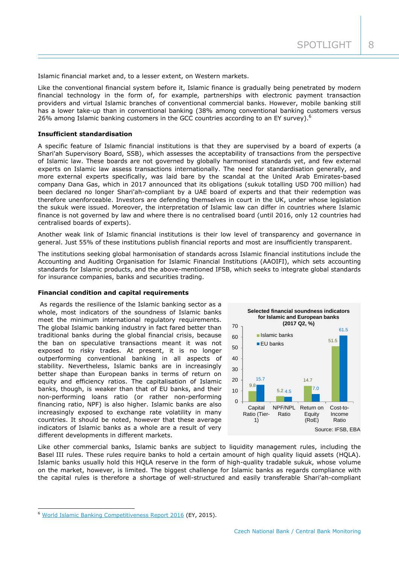Islamic financial market and, to a lesser extent, on Western markets.

Like the conventional financial system before it, Islamic finance is gradually being penetrated by modern financial technology in the form of, for example, partnerships with electronic payment transaction providers and virtual Islamic branches of conventional commercial banks. However, mobile banking still has a lower take-up than in conventional banking (38% among conventional banking customers versus 26% among Islamic banking customers in the GCC countries according to an EY survey).<sup>6</sup>

## **Insufficient standardisation**

A specific feature of Islamic financial institutions is that they are supervised by a board of experts (a Shari'ah Supervisory Board, SSB), which assesses the acceptability of transactions from the perspective of Islamic law. These boards are not governed by globally harmonised standards yet, and few external experts on Islamic law assess transactions internationally. The need for standardisation generally, and more external experts specifically, was laid bare by the scandal at the United Arab Emirates-based company Dana Gas, which in 2017 announced that its obligations (sukuk totalling USD 700 million) had been declared no longer Shari'ah-compliant by a UAE board of experts and that their redemption was therefore unenforceable. Investors are defending themselves in court in the UK, under whose legislation the sukuk were issued. Moreover, the interpretation of Islamic law can differ in countries where Islamic finance is not governed by law and where there is no centralised board (until 2016, only 12 countries had centralised boards of experts).

Another weak link of Islamic financial institutions is their low level of transparency and governance in general. Just 55% of these institutions publish financial reports and most are insufficiently transparent.

The institutions seeking global harmonisation of standards across Islamic financial institutions include the Accounting and Auditing Organisation for Islamic Financial Institutions (AAOIFI), which sets accounting standards for Islamic products, and the above-mentioned IFSB, which seeks to integrate global standards for insurance companies, banks and securities trading.

## **Financial condition and capital requirements**

As regards the resilience of the Islamic banking sector as a whole, most indicators of the soundness of Islamic banks meet the minimum international regulatory requirements. The global Islamic banking industry in fact fared better than traditional banks during the global financial crisis, because the ban on speculative transactions meant it was not exposed to risky trades. At present, it is no longer outperforming conventional banking in all aspects of stability. Nevertheless, Islamic banks are in increasingly better shape than European banks in terms of return on equity and efficiency ratios. The capitalisation of Islamic banks, though, is weaker than that of EU banks, and their non-performing loans ratio (or rather non-performing financing ratio, NPF) is also higher. Islamic banks are also increasingly exposed to exchange rate volatility in many countries. It should be noted, however that these average indicators of Islamic banks as a whole are a result of very different developments in different markets.



Like other commercial banks, Islamic banks are subject to liquidity management rules, including the Basel III rules. These rules require banks to hold a certain amount of high quality liquid assets (HQLA). Islamic banks usually hold this HQLA reserve in the form of high-quality tradable sukuk, whose volume on the market, however, is limited. The biggest challenge for Islamic banks as regards compliance with the capital rules is therefore a shortage of well-structured and easily transferable Shari'ah-compliant

-

<sup>&</sup>lt;sup>6</sup> [World Islamic Banking Competitiveness Report 2016](https://www.ey.com/Publication/vwLUAssets/ey-world-islamic-banking-competitiveness-report-2016/$FILE/ey-world-islamic-banking-competitiveness-report-2016.pdf) (EY, 2015).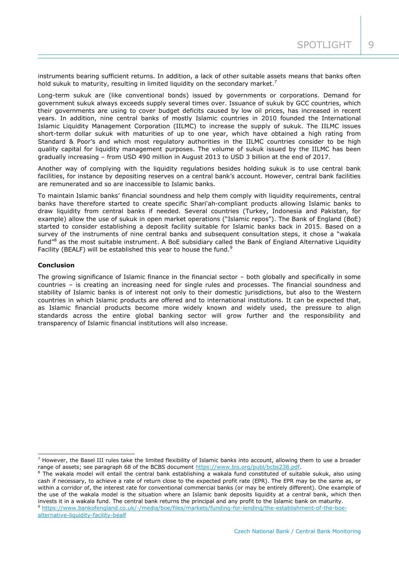instruments bearing sufficient returns. In addition, a lack of other suitable assets means that banks often hold sukuk to maturity, resulting in limited liquidity on the secondary market.<sup>7</sup>

Long-term sukuk are (like conventional bonds) issued by governments or corporations. Demand for government sukuk always exceeds supply several times over. Issuance of sukuk by GCC countries, which their governments are using to cover budget deficits caused by low oil prices, has increased in recent years. In addition, nine central banks of mostly Islamic countries in 2010 founded the International Islamic Liquidity Management Corporation (IILMC) to increase the supply of sukuk. The IILMC issues short-term dollar sukuk with maturities of up to one year, which have obtained a high rating from Standard & Poor's and which most regulatory authorities in the IILMC countries consider to be high quality capital for liquidity management purposes. The volume of sukuk issued by the IILMC has been gradually increasing – from USD 490 million in August 2013 to USD 3 billion at the end of 2017.

Another way of complying with the liquidity regulations besides holding sukuk is to use central bank facilities, for instance by depositing reserves on a central bank's account. However, central bank facilities are remunerated and so are inaccessible to Islamic banks.

To maintain Islamic banks' financial soundness and help them comply with liquidity requirements, central banks have therefore started to create specific Shari'ah-compliant products allowing Islamic banks to draw liquidity from central banks if needed. Several countries (Turkey, Indonesia and Pakistan, for example) allow the use of sukuk in open market operations ("Islamic repos"). The Bank of England (BoE) started to consider establishing a deposit facility suitable for Islamic banks back in 2015. Based on a survey of the instruments of nine central banks and subsequent consultation steps, it chose a "wakala fund<sup>"8</sup> as the most suitable instrument. A BoE subsidiary called the Bank of England Alternative Liquidity Facility (BEALF) will be established this year to house the fund.<sup>9</sup>

# **Conclusion**

-

The growing significance of Islamic finance in the financial sector – both globally and specifically in some countries – is creating an increasing need for single rules and processes. The financial soundness and stability of Islamic banks is of interest not only to their domestic jurisdictions, but also to the Western countries in which Islamic products are offered and to international institutions. It can be expected that, as Islamic financial products become more widely known and widely used, the pressure to align standards across the entire global banking sector will grow further and the responsibility and transparency of Islamic financial institutions will also increase.

<sup>9</sup> [https://www.bankofengland.co.uk/-/media/boe/files/markets/funding-for-lending/the-establishment-of-the-boe](https://www.bankofengland.co.uk/-/media/boe/files/markets/funding-for-lending/the-establishment-of-the-boe-alternative-liquidity-facility-bealf)[alternative-liquidity-facility-bealf](https://www.bankofengland.co.uk/-/media/boe/files/markets/funding-for-lending/the-establishment-of-the-boe-alternative-liquidity-facility-bealf)

 $<sup>7</sup>$  However, the Basel III rules take the limited flexibility of Islamic banks into account, allowing them to use a broader</sup> range of assets; see paragraph 68 of the BCBS document [https://www.bis.org/publ/bcbs238.pdf.](https://www.bis.org/publ/bcbs238.pdf)

 $8$  The wakala model will entail the central bank establishing a wakala fund constituted of suitable sukuk, also using cash if necessary, to achieve a rate of return close to the expected profit rate (EPR). The EPR may be the same as, or within a corridor of, the interest rate for conventional commercial banks (or may be entirely different). One example of the use of the wakala model is the situation where an Islamic bank deposits liquidity at a central bank, which then invests it in a wakala fund. The central bank returns the principal and any profit to the Islamic bank on maturity.